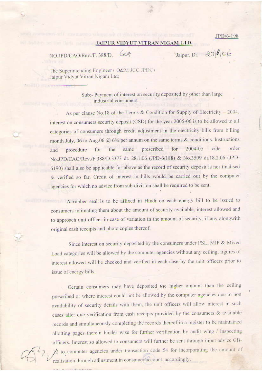JPD/6-198

## JAIPUR VIDYUT VITRAN NIGAM LTD.

608 NO.JPD/CAO/Rev./F. 388/D.

Jaipur, Dt. 23666

The Superintending Engineer (O&M JCC JPDC) Jaipur Vidvut Vitran Nigam Ltd;

> Sub:- Payment of interest on security deposited by other than large industrial consumers.

As per clause No.18 of the Terms & Condition for Supply of Electricity - 2004. interest on consumers security deposit (CSD) for the year 2005-06 is to be allowed to all categories of consumers through credit adjustment in the electricity bills from billing month July, 06 to Aug.06  $\hat{a}$ , 6% per annum on the same terms & conditions. Instructions same prescribed for 2004-05 vide order for the procedure and No.JPD/CAO/Rev./F.388/D.3373 dt. 28.1.06 (JPD-6/188) & No.3599 dt.18.2.06 (JPD-6190) shall also be applicable for above as the record of security deposit is not finalised & verified so far. Credit of interest in bills would be carried out by the computer agencies for which no advice from sub-division shall be required to be sent.

A rubber seal is to be affixed in Hindi on each energy bill to be issued to consumers intimating them about the amount of security available, interest allowed and to approach unit officer in case of variation in the amount of security, if any alongwith original cash receipts and photo copies thereof.

Since interest on security deposited by the consumers under PSL, MIP & Mixed Load categories will be allowed by the computer agencies without any ceiling, figures of interest allowed will be checked and verified in each case by the unit officers prior to issue of energy bills.

Certain consumers may have deposited the higher amount than the ceiling prescribed or where interest could not be allowed by the computer agencies due to non availability of security details with them, the unit officers will allow interest in such cases after due verification from cash receipts provided by the consumers & available records and simultaneously completing the records thereof in a register to be maintained allotting pages therein binder wise for further verification by audit wing / inspecting officers. Interest so allowed to consumers will further be sent through input advice CB- $\frac{1}{2}$  to computer agencies under transaction code 54 for incorporating the amount of realisation through adjustment in consumer account, accordingly.